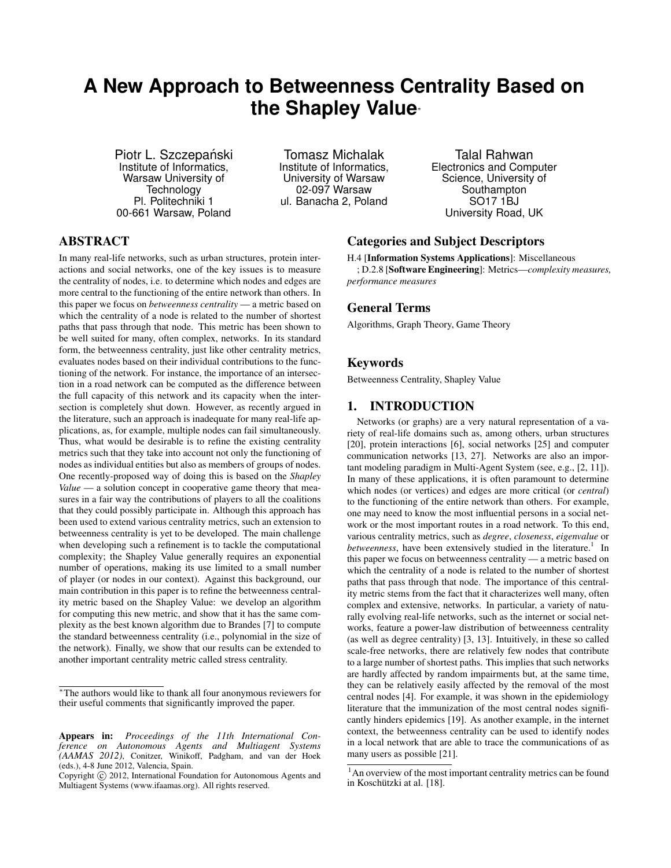# **A New Approach to Betweenness Centrality Based on the Shapley Value**<sup>∗</sup>

Piotr L. Szczepański Institute of Informatics, Warsaw University of Technology Pl. Politechniki 1 00-661 Warsaw, Poland

Tomasz Michalak Institute of Informatics, University of Warsaw 02-097 Warsaw ul. Banacha 2, Poland

Talal Rahwan Electronics and Computer Science, University of Southampton SO17 1BJ University Road, UK

## ABSTRACT

In many real-life networks, such as urban structures, protein interactions and social networks, one of the key issues is to measure the centrality of nodes, i.e. to determine which nodes and edges are more central to the functioning of the entire network than others. In this paper we focus on *betweenness centrality* — a metric based on which the centrality of a node is related to the number of shortest paths that pass through that node. This metric has been shown to be well suited for many, often complex, networks. In its standard form, the betweenness centrality, just like other centrality metrics, evaluates nodes based on their individual contributions to the functioning of the network. For instance, the importance of an intersection in a road network can be computed as the difference between the full capacity of this network and its capacity when the intersection is completely shut down. However, as recently argued in the literature, such an approach is inadequate for many real-life applications, as, for example, multiple nodes can fail simultaneously. Thus, what would be desirable is to refine the existing centrality metrics such that they take into account not only the functioning of nodes as individual entities but also as members of groups of nodes. One recently-proposed way of doing this is based on the *Shapley Value* — a solution concept in cooperative game theory that measures in a fair way the contributions of players to all the coalitions that they could possibly participate in. Although this approach has been used to extend various centrality metrics, such an extension to betweenness centrality is yet to be developed. The main challenge when developing such a refinement is to tackle the computational complexity; the Shapley Value generally requires an exponential number of operations, making its use limited to a small number of player (or nodes in our context). Against this background, our main contribution in this paper is to refine the betweenness centrality metric based on the Shapley Value: we develop an algorithm for computing this new metric, and show that it has the same complexity as the best known algorithm due to Brandes [7] to compute the standard betweenness centrality (i.e., polynomial in the size of the network). Finally, we show that our results can be extended to another important centrality metric called stress centrality.

### Categories and Subject Descriptors

H.4 [Information Systems Applications]: Miscellaneous

; D.2.8 [Software Engineering]: Metrics—*complexity measures, performance measures*

### General Terms

Algorithms, Graph Theory, Game Theory

### Keywords

Betweenness Centrality, Shapley Value

### 1. INTRODUCTION

Networks (or graphs) are a very natural representation of a variety of real-life domains such as, among others, urban structures [20], protein interactions [6], social networks [25] and computer communication networks [13, 27]. Networks are also an important modeling paradigm in Multi-Agent System (see, e.g., [2, 11]). In many of these applications, it is often paramount to determine which nodes (or vertices) and edges are more critical (or *central*) to the functioning of the entire network than others. For example, one may need to know the most influential persons in a social network or the most important routes in a road network. To this end, various centrality metrics, such as *degree*, *closeness*, *eigenvalue* or betweenness, have been extensively studied in the literature.<sup>1</sup> In this paper we focus on betweenness centrality — a metric based on which the centrality of a node is related to the number of shortest paths that pass through that node. The importance of this centrality metric stems from the fact that it characterizes well many, often complex and extensive, networks. In particular, a variety of naturally evolving real-life networks, such as the internet or social networks, feature a power-law distribution of betweenness centrality (as well as degree centrality) [3, 13]. Intuitively, in these so called scale-free networks, there are relatively few nodes that contribute to a large number of shortest paths. This implies that such networks are hardly affected by random impairments but, at the same time, they can be relatively easily affected by the removal of the most central nodes [4]. For example, it was shown in the epidemiology literature that the immunization of the most central nodes significantly hinders epidemics [19]. As another example, in the internet context, the betweenness centrality can be used to identify nodes in a local network that are able to trace the communications of as many users as possible [21].

<sup>∗</sup>The authors would like to thank all four anonymous reviewers for their useful comments that significantly improved the paper.

Appears in: *Proceedings of the 11th International Conference on Autonomous Agents and Multiagent Systems (AAMAS 2012)*, Conitzer, Winikoff, Padgham, and van der Hoek (eds.), 4-8 June 2012, Valencia, Spain.

Copyright (C) 2012, International Foundation for Autonomous Agents and Multiagent Systems (www.ifaamas.org). All rights reserved.

<sup>&</sup>lt;sup>1</sup>An overview of the most important centrality metrics can be found in Koschützki at al. [18].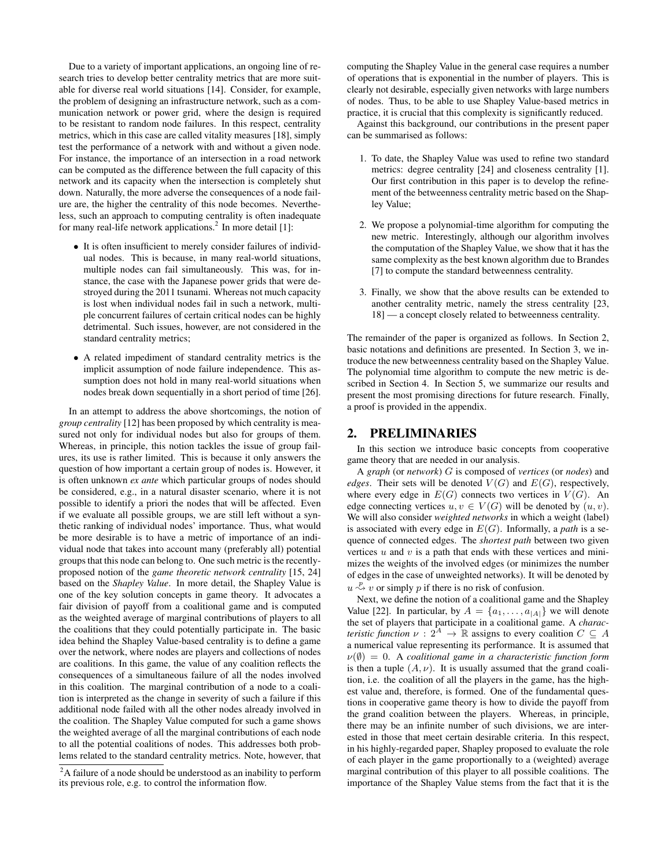Due to a variety of important applications, an ongoing line of research tries to develop better centrality metrics that are more suitable for diverse real world situations [14]. Consider, for example, the problem of designing an infrastructure network, such as a communication network or power grid, where the design is required to be resistant to random node failures. In this respect, centrality metrics, which in this case are called vitality measures [18], simply test the performance of a network with and without a given node. For instance, the importance of an intersection in a road network can be computed as the difference between the full capacity of this network and its capacity when the intersection is completely shut down. Naturally, the more adverse the consequences of a node failure are, the higher the centrality of this node becomes. Nevertheless, such an approach to computing centrality is often inadequate for many real-life network applications.<sup>2</sup> In more detail [1]:

- It is often insufficient to merely consider failures of individual nodes. This is because, in many real-world situations, multiple nodes can fail simultaneously. This was, for instance, the case with the Japanese power grids that were destroyed during the 2011 tsunami. Whereas not much capacity is lost when individual nodes fail in such a network, multiple concurrent failures of certain critical nodes can be highly detrimental. Such issues, however, are not considered in the standard centrality metrics;
- A related impediment of standard centrality metrics is the implicit assumption of node failure independence. This assumption does not hold in many real-world situations when nodes break down sequentially in a short period of time [26].

In an attempt to address the above shortcomings, the notion of *group centrality* [12] has been proposed by which centrality is measured not only for individual nodes but also for groups of them. Whereas, in principle, this notion tackles the issue of group failures, its use is rather limited. This is because it only answers the question of how important a certain group of nodes is. However, it is often unknown *ex ante* which particular groups of nodes should be considered, e.g., in a natural disaster scenario, where it is not possible to identify a priori the nodes that will be affected. Even if we evaluate all possible groups, we are still left without a synthetic ranking of individual nodes' importance. Thus, what would be more desirable is to have a metric of importance of an individual node that takes into account many (preferably all) potential groups that this node can belong to. One such metric is the recentlyproposed notion of the *game theoretic network centrality* [15, 24] based on the *Shapley Value*. In more detail, the Shapley Value is one of the key solution concepts in game theory. It advocates a fair division of payoff from a coalitional game and is computed as the weighted average of marginal contributions of players to all the coalitions that they could potentially participate in. The basic idea behind the Shapley Value-based centrality is to define a game over the network, where nodes are players and collections of nodes are coalitions. In this game, the value of any coalition reflects the consequences of a simultaneous failure of all the nodes involved in this coalition. The marginal contribution of a node to a coalition is interpreted as the change in severity of such a failure if this additional node failed with all the other nodes already involved in the coalition. The Shapley Value computed for such a game shows the weighted average of all the marginal contributions of each node to all the potential coalitions of nodes. This addresses both problems related to the standard centrality metrics. Note, however, that

computing the Shapley Value in the general case requires a number of operations that is exponential in the number of players. This is clearly not desirable, especially given networks with large numbers of nodes. Thus, to be able to use Shapley Value-based metrics in practice, it is crucial that this complexity is significantly reduced.

Against this background, our contributions in the present paper can be summarised as follows:

- 1. To date, the Shapley Value was used to refine two standard metrics: degree centrality [24] and closeness centrality [1]. Our first contribution in this paper is to develop the refinement of the betweenness centrality metric based on the Shapley Value;
- 2. We propose a polynomial-time algorithm for computing the new metric. Interestingly, although our algorithm involves the computation of the Shapley Value, we show that it has the same complexity as the best known algorithm due to Brandes [7] to compute the standard betweenness centrality.
- 3. Finally, we show that the above results can be extended to another centrality metric, namely the stress centrality [23, 18] — a concept closely related to betweenness centrality.

The remainder of the paper is organized as follows. In Section 2, basic notations and definitions are presented. In Section 3, we introduce the new betweenness centrality based on the Shapley Value. The polynomial time algorithm to compute the new metric is described in Section 4. In Section 5, we summarize our results and present the most promising directions for future research. Finally, a proof is provided in the appendix.

### 2. PRELIMINARIES

In this section we introduce basic concepts from cooperative game theory that are needed in our analysis.

A *graph* (or *network*) G is composed of *vertices* (or *nodes*) and *edges*. Their sets will be denoted  $V(G)$  and  $E(G)$ , respectively, where every edge in  $E(G)$  connects two vertices in  $V(G)$ . An edge connecting vertices  $u, v \in V(G)$  will be denoted by  $(u, v)$ . We will also consider *weighted networks* in which a weight (label) is associated with every edge in  $E(G)$ . Informally, a *path* is a sequence of connected edges. The *shortest path* between two given vertices  $u$  and  $v$  is a path that ends with these vertices and minimizes the weights of the involved edges (or minimizes the number of edges in the case of unweighted networks). It will be denoted by  $u \stackrel{p}{\rightsquigarrow} v$  or simply p if there is no risk of confusion.

Next, we define the notion of a coalitional game and the Shapley Value [22]. In particular, by  $A = \{a_1, \ldots, a_{|A|}\}\$  we will denote the set of players that participate in a coalitional game. A *characteristic function*  $\nu$  :  $2^A \rightarrow \mathbb{R}$  assigns to every coalition  $C \subseteq A$ a numerical value representing its performance. It is assumed that  $\nu(\emptyset) = 0$ . A *coalitional game in a characteristic function form* is then a tuple  $(A, \nu)$ . It is usually assumed that the grand coalition, i.e. the coalition of all the players in the game, has the highest value and, therefore, is formed. One of the fundamental questions in cooperative game theory is how to divide the payoff from the grand coalition between the players. Whereas, in principle, there may be an infinite number of such divisions, we are interested in those that meet certain desirable criteria. In this respect, in his highly-regarded paper, Shapley proposed to evaluate the role of each player in the game proportionally to a (weighted) average marginal contribution of this player to all possible coalitions. The importance of the Shapley Value stems from the fact that it is the

<sup>&</sup>lt;sup>2</sup>A failure of a node should be understood as an inability to perform its previous role, e.g. to control the information flow.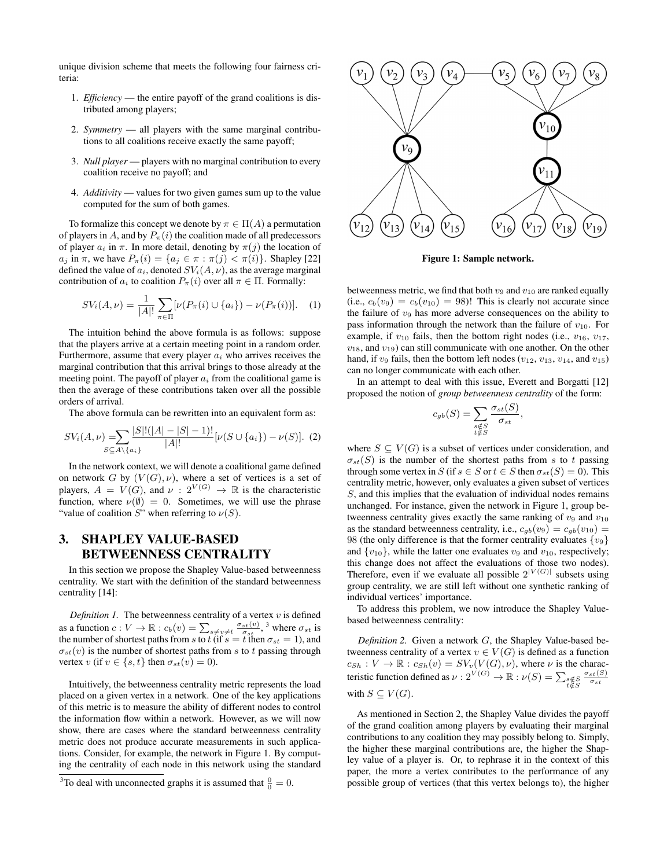unique division scheme that meets the following four fairness criteria:

- 1. *Efficiency* the entire payoff of the grand coalitions is distributed among players;
- 2. *Symmetry* all players with the same marginal contributions to all coalitions receive exactly the same payoff;
- 3. *Null player* players with no marginal contribution to every coalition receive no payoff; and
- 4. *Additivity* values for two given games sum up to the value computed for the sum of both games.

To formalize this concept we denote by  $\pi \in \Pi(A)$  a permutation of players in A, and by  $P_{\pi}(i)$  the coalition made of all predecessors of player  $a_i$  in  $\pi$ . In more detail, denoting by  $\pi(j)$  the location of  $a_j$  in  $\pi$ , we have  $P_\pi(i) = \{a_j \in \pi : \pi(j) < \pi(i)\}\$ . Shapley [22] defined the value of  $a_i$ , denoted  $SV_i(A, \nu)$ , as the average marginal contribution of  $a_i$  to coalition  $P_\pi(i)$  over all  $\pi \in \Pi$ . Formally:

$$
SV_i(A,\nu) = \frac{1}{|A|!} \sum_{\pi \in \Pi} [\nu(P_{\pi}(i) \cup \{a_i\}) - \nu(P_{\pi}(i))]. \quad (1)
$$

The intuition behind the above formula is as follows: suppose that the players arrive at a certain meeting point in a random order. Furthermore, assume that every player  $a_i$  who arrives receives the marginal contribution that this arrival brings to those already at the meeting point. The payoff of player  $a_i$  from the coalitional game is then the average of these contributions taken over all the possible orders of arrival.

The above formula can be rewritten into an equivalent form as:

$$
SV_i(A,\nu) = \sum_{S \subseteq A \setminus \{a_i\}} \frac{|S|!(|A|-|S|-1)!}{|A|!} [\nu(S \cup \{a_i\}) - \nu(S)]. \tag{2}
$$

In the network context, we will denote a coalitional game defined on network G by  $(V(G), \nu)$ , where a set of vertices is a set of players,  $A = V(G)$ , and  $\nu : 2^{V(G)} \rightarrow \mathbb{R}$  is the characteristic function, where  $\nu(\emptyset) = 0$ . Sometimes, we will use the phrase "value of coalition  $S$ " when referring to  $\nu(S)$ .

# 3. SHAPLEY VALUE-BASED BETWEENNESS CENTRALITY

In this section we propose the Shapley Value-based betweenness centrality. We start with the definition of the standard betweenness centrality [14]:

*Definition 1.* The betweenness centrality of a vertex  $v$  is defined as a function  $c: V \to \mathbb{R}: c_b(v) = \sum_{s \neq v \neq t} \frac{\sigma_{st}(v)}{\sigma_{st}}$ , <sup>3</sup> where  $\sigma_{st}$  is the number of shortest paths from s to t (if  $s = t$  then  $\sigma_{st} = 1$ ), and  $\sigma_{st}(v)$  is the number of shortest paths from s to t passing through vertex v (if  $v \in \{s, t\}$  then  $\sigma_{st}(v) = 0$ ).

Intuitively, the betweenness centrality metric represents the load placed on a given vertex in a network. One of the key applications of this metric is to measure the ability of different nodes to control the information flow within a network. However, as we will now show, there are cases where the standard betweenness centrality metric does not produce accurate measurements in such applications. Consider, for example, the network in Figure 1. By computing the centrality of each node in this network using the standard



Figure 1: Sample network.

betweenness metric, we find that both  $v_9$  and  $v_{10}$  are ranked equally (i.e.,  $c_b(v_9) = c_b(v_{10}) = 98$ )! This is clearly not accurate since the failure of  $v_9$  has more adverse consequences on the ability to pass information through the network than the failure of  $v_{10}$ . For example, if  $v_{10}$  fails, then the bottom right nodes (i.e.,  $v_{16}$ ,  $v_{17}$ ,  $v_{18}$ , and  $v_{19}$ ) can still communicate with one another. On the other hand, if  $v_9$  fails, then the bottom left nodes  $(v_{12}, v_{13}, v_{14}, \text{ and } v_{15})$ can no longer communicate with each other.

In an attempt to deal with this issue, Everett and Borgatti [12] proposed the notion of *group betweenness centrality* of the form:

$$
c_{gb}(S) = \sum_{\substack{s \notin S \\ t \notin S}} \frac{\sigma_{st}(S)}{\sigma_{st}},
$$

where  $S \subseteq V(G)$  is a subset of vertices under consideration, and  $\sigma_{st}(S)$  is the number of the shortest paths from s to t passing through some vertex in S (if  $s \in S$  or  $t \in S$  then  $\sigma_{st}(S) = 0$ ). This centrality metric, however, only evaluates a given subset of vertices S, and this implies that the evaluation of individual nodes remains unchanged. For instance, given the network in Figure 1, group betweenness centrality gives exactly the same ranking of  $v_9$  and  $v_{10}$ as the standard betweenness centrality, i.e.,  $c_{ab}(v_9) = c_{ab}(v_{10}) =$ 98 (the only difference is that the former centrality evaluates  $\{v_9\}$ and  $\{v_{10}\}\$ , while the latter one evaluates  $v_9$  and  $v_{10}$ , respectively; this change does not affect the evaluations of those two nodes). Therefore, even if we evaluate all possible  $2^{|V(G)|}$  subsets using group centrality, we are still left without one synthetic ranking of individual vertices' importance.

To address this problem, we now introduce the Shapley Valuebased betweenness centrality:

*Definition 2.* Given a network G, the Shapley Value-based betweenness centrality of a vertex  $v \in V(G)$  is defined as a function  $c_{Sh}: V \to \mathbb{R}: c_{Sh}(v) = SV_v(V(G), \nu)$ , where  $\nu$  is the characteristic function defined as  $\nu: 2^{V(G)} \to \mathbb{R}: \nu(S) = \sum_{\substack{s \notin S \\ t \notin S}}$  $\frac{\sigma_{st}(S)}{\sigma_{st}}$ with  $S \subseteq V(G)$ .

As mentioned in Section 2, the Shapley Value divides the payoff of the grand coalition among players by evaluating their marginal contributions to any coalition they may possibly belong to. Simply, the higher these marginal contributions are, the higher the Shapley value of a player is. Or, to rephrase it in the context of this paper, the more a vertex contributes to the performance of any possible group of vertices (that this vertex belongs to), the higher

<sup>&</sup>lt;sup>3</sup>To deal with unconnected graphs it is assumed that  $\frac{0}{0} = 0$ .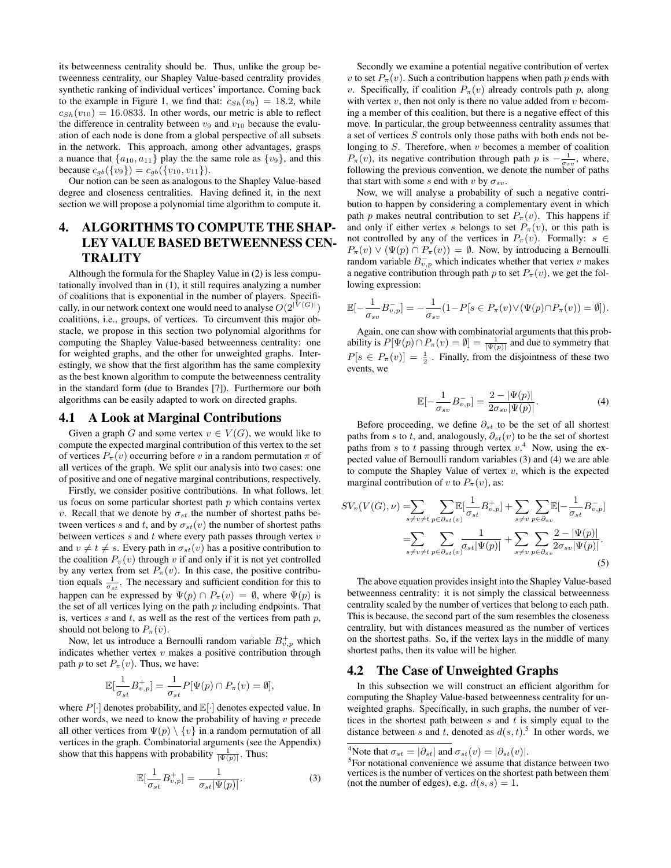its betweenness centrality should be. Thus, unlike the group betweenness centrality, our Shapley Value-based centrality provides synthetic ranking of individual vertices' importance. Coming back to the example in Figure 1, we find that:  $c_{Sh}(v_9) = 18.2$ , while  $c_{Sh}(v_{10}) = 16.0833$ . In other words, our metric is able to reflect the difference in centrality between  $v_9$  and  $v_{10}$  because the evaluation of each node is done from a global perspective of all subsets in the network. This approach, among other advantages, grasps a nuance that  $\{a_{10}, a_{11}\}$  play the the same role as  $\{v_9\}$ , and this because  $c_{gb}(\{v_9\}) = c_{gb}(\{v_{10}, v_{11}\}).$ 

Our notion can be seen as analogous to the Shapley Value-based degree and closeness centralities. Having defined it, in the next section we will propose a polynomial time algorithm to compute it.

# 4. ALGORITHMS TO COMPUTE THE SHAP-LEY VALUE BASED BETWEENNESS CEN-**TRALITY**

Although the formula for the Shapley Value in (2) is less computationally involved than in (1), it still requires analyzing a number of coalitions that is exponential in the number of players. Specifically, in our network context one would need to analyse  $O(2^{|V(G)|})$ coalitions, i.e., groups, of vertices. To circumvent this major obstacle, we propose in this section two polynomial algorithms for computing the Shapley Value-based betweenness centrality: one for weighted graphs, and the other for unweighted graphs. Interestingly, we show that the first algorithm has the same complexity as the best known algorithm to compute the betweenness centrality in the standard form (due to Brandes [7]). Furthermore our both algorithms can be easily adapted to work on directed graphs.

#### 4.1 A Look at Marginal Contributions

Given a graph G and some vertex  $v \in V(G)$ , we would like to compute the expected marginal contribution of this vertex to the set of vertices  $P_{\pi}(v)$  occurring before v in a random permutation  $\pi$  of all vertices of the graph. We split our analysis into two cases: one of positive and one of negative marginal contributions, respectively.

Firstly, we consider positive contributions. In what follows, let us focus on some particular shortest path  $p$  which contains vertex v. Recall that we denote by  $\sigma_{st}$  the number of shortest paths between vertices s and t, and by  $\sigma_{st}(v)$  the number of shortest paths between vertices  $s$  and  $t$  where every path passes through vertex  $v$ and  $v \neq t \neq s$ . Every path in  $\sigma_{st}(v)$  has a positive contribution to the coalition  $P_{\pi}(v)$  through v if and only if it is not yet controlled by any vertex from set  $P_\pi(v)$ . In this case, the positive contribution equals  $\frac{1}{\sigma_{st}}$ . The necessary and sufficient condition for this to happen can be expressed by  $\Psi(p) \cap P_\pi(v) = \emptyset$ , where  $\Psi(p)$  is the set of all vertices lying on the path  $p$  including endpoints. That is, vertices  $s$  and  $t$ , as well as the rest of the vertices from path  $p$ , should not belong to  $P_\pi(v)$ .

Now, let us introduce a Bernoulli random variable  $B_{v,p}^{+}$  which indicates whether vertex  $v$  makes a positive contribution through path p to set  $P_{\pi}(v)$ . Thus, we have:

$$
\mathbb{E}[\frac{1}{\sigma_{st}}B_{v,p}^+] = \frac{1}{\sigma_{st}}P[\Psi(p) \cap P_{\pi}(v) = \emptyset],
$$

where  $P[\cdot]$  denotes probability, and  $\mathbb{E}[\cdot]$  denotes expected value. In other words, we need to know the probability of having  $v$  precede all other vertices from  $\Psi(p) \setminus \{v\}$  in a random permutation of all vertices in the graph. Combinatorial arguments (see the Appendix) show that this happens with probability  $\frac{1}{|\Psi(p)|}$ . Thus:

$$
\mathbb{E}[\frac{1}{\sigma_{st}}B_{v,p}^+] = \frac{1}{\sigma_{st}|\Psi(p)|}.
$$
 (3)

Secondly we examine a potential negative contribution of vertex v to set  $P_{\pi}(v)$ . Such a contribution happens when path p ends with v. Specifically, if coalition  $P_\pi(v)$  already controls path p, along with vertex  $v$ , then not only is there no value added from  $v$  becoming a member of this coalition, but there is a negative effect of this move. In particular, the group betweenness centrality assumes that a set of vertices S controls only those paths with both ends not belonging to  $S$ . Therefore, when  $v$  becomes a member of coalition  $P_{\pi}(v)$ , its negative contribution through path p is  $-\frac{1}{\sigma_{sv}}$ , where, following the previous convention, we denote the number of paths that start with some s end with v by  $\sigma_{sv}$ .

Now, we will analyse a probability of such a negative contribution to happen by considering a complementary event in which path p makes neutral contribution to set  $P_\pi(v)$ . This happens if and only if either vertex s belongs to set  $P_\pi(v)$ , or this path is not controlled by any of the vertices in  $P_\pi(v)$ . Formally:  $s \in$  $P_{\pi}(v) \vee (\Psi(p) \cap P_{\pi}(v)) = \emptyset$ . Now, by introducing a Bernoulli random variable  $B_{v,p}^-$  which indicates whether that vertex v makes a negative contribution through path p to set  $P_\pi(v)$ , we get the following expression:

$$
\mathbb{E}[-\frac{1}{\sigma_{sv}}B_{v,p}^-] = -\frac{1}{\sigma_{sv}}(1-P[s \in P_\pi(v) \vee (\Psi(p) \cap P_\pi(v)) = \emptyset]).
$$

Again, one can show with combinatorial arguments that this probability is  $P[\Psi(p) \cap P_\pi(v) = \emptyset] = \frac{1}{|\Psi(p)|}$  and due to symmetry that  $P[s \in P_\pi(v)] = \frac{1}{2}$ . Finally, from the disjointness of these two events, we

$$
\mathbb{E}[-\frac{1}{\sigma_{sv}}B_{v,p}^{-}]=\frac{2-|\Psi(p)|}{2\sigma_{sv}|\Psi(p)|}.
$$
\n(4)

Before proceeding, we define  $\partial_{st}$  to be the set of all shortest paths from s to t, and, analogously,  $\partial_{st}(v)$  to be the set of shortest paths from s to t passing through vertex  $v^4$ . Now, using the expected value of Bernoulli random variables (3) and (4) we are able to compute the Shapley Value of vertex  $v$ , which is the expected marginal contribution of v to  $P_\pi(v)$ , as:

$$
SV_v(V(G), \nu) = \sum_{s \neq v \neq t} \sum_{p \in \partial_{st}(v)} \mathbb{E}[\frac{1}{\sigma_{st}} B_{v,p}^+] + \sum_{s \neq v} \sum_{p \in \partial_{sv}} \mathbb{E}[-\frac{1}{\sigma_{st}} B_{v,p}^-] = \sum_{s \neq v \neq t} \sum_{p \in \partial_{st}(v)} \frac{1}{\sigma_{st}|\Psi(p)|} + \sum_{s \neq v} \sum_{p \in \partial_{sv}} \frac{2 - |\Psi(p)|}{2\sigma_{sv}|\Psi(p)|}.
$$
(5)

The above equation provides insight into the Shapley Value-based betweenness centrality: it is not simply the classical betweenness centrality scaled by the number of vertices that belong to each path. This is because, the second part of the sum resembles the closeness centrality, but with distances measured as the number of vertices on the shortest paths. So, if the vertex lays in the middle of many shortest paths, then its value will be higher.

### 4.2 The Case of Unweighted Graphs

In this subsection we will construct an efficient algorithm for computing the Shapley Value-based betweenness centrality for unweighted graphs. Specifically, in such graphs, the number of vertices in the shortest path between  $s$  and  $t$  is simply equal to the distance between s and t, denoted as  $d(s, t)$ .<sup>5</sup> In other words, we

<sup>&</sup>lt;sup>4</sup>Note that  $\sigma_{st} = |\partial_{st}|$  and  $\sigma_{st}(v) = |\partial_{st}(v)|$ .

<sup>&</sup>lt;sup>5</sup>For notational convenience we assume that distance between two vertices is the number of vertices on the shortest path between them (not the number of edges), e.g.  $d(s, s) = 1$ .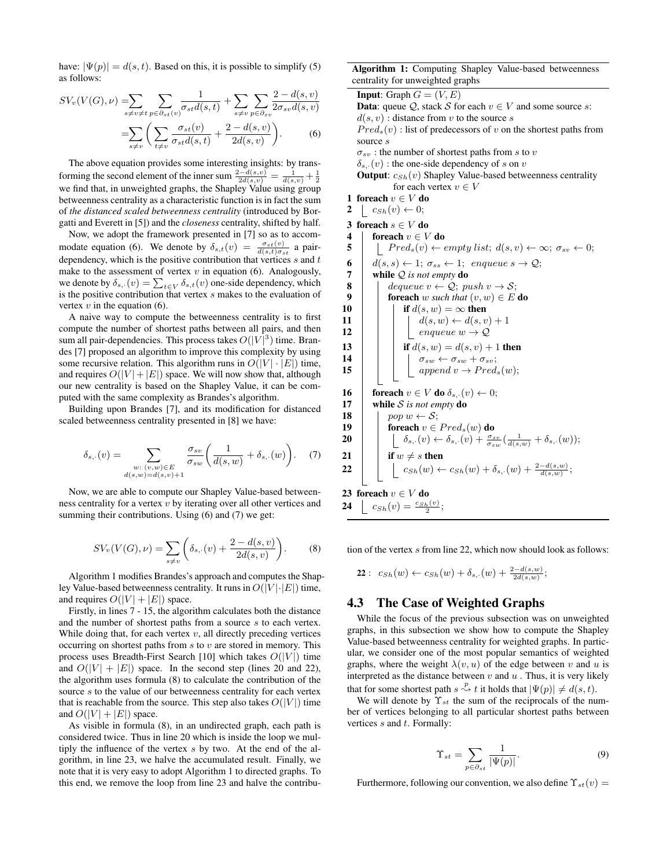have:  $|\Psi(p)| = d(s, t)$ . Based on this, it is possible to simplify (5) as follows:

$$
SV_v(V(G), \nu) = \sum_{s \neq v \neq t} \sum_{p \in \partial_{st}(v)} \frac{1}{\sigma_{st}d(s, t)} + \sum_{s \neq v} \sum_{p \in \partial_{sv}} \frac{2 - d(s, v)}{2\sigma_{sv}d(s, v)}
$$

$$
= \sum_{s \neq v} \left( \sum_{t \neq v} \frac{\sigma_{st}(v)}{\sigma_{st}d(s, t)} + \frac{2 - d(s, v)}{2d(s, v)} \right). \tag{6}
$$

The above equation provides some interesting insights: by transforming the second element of the inner sum  $\frac{2-d(s,v)}{2d(s,v)} = \frac{1}{d(s,v)} + \frac{1}{2}$ <br>we find that, in unweighted graphs, the Shapley Value using group betweenness centrality as a characteristic function is in fact the sum of *the distanced scaled betweenness centrality* (introduced by Borgatti and Everett in [5]) and the *closeness* centrality, shifted by half.

Now, we adopt the framework presented in [7] so as to accommodate equation (6). We denote by  $\delta_{s,t}(v) = \frac{\sigma_{st}(v)}{d(s,t)\sigma_{st}}$  a pairdependency, which is the positive contribution that vertices  $s$  and  $t$ make to the assessment of vertex  $v$  in equation (6). Analogously, we denote by  $\delta_{s}$ ,  $(v) = \sum_{t \in V} \delta_{s,t}(v)$  one-side dependency, which is the positive contribution that vertex s makes to the evaluation of vertex  $v$  in the equation (6).

A naive way to compute the betweenness centrality is to first compute the number of shortest paths between all pairs, and then sum all pair-dependencies. This process takes  $O(|V|^3)$  time. Brandes [7] proposed an algorithm to improve this complexity by using some recursive relation. This algorithm runs in  $O(|V| \cdot |E|)$  time, and requires  $O(|V| + |E|)$  space. We will now show that, although our new centrality is based on the Shapley Value, it can be computed with the same complexity as Brandes's algorithm.

Building upon Brandes [7], and its modification for distanced scaled betweenness centrality presented in [8] we have:

$$
\delta_{s,\cdot}(v) = \sum_{\substack{w:\ (v,w)\in E\\d(s,w)=d(s,v)+1}} \frac{\sigma_{sv}}{\sigma_{sw}} \left(\frac{1}{d(s,w)} + \delta_{s,\cdot}(w)\right). \tag{7}
$$

Now, we are able to compute our Shapley Value-based betweenness centrality for a vertex v by iterating over all other vertices and summing their contributions. Using (6) and (7) we get:

$$
SV_v(V(G), \nu) = \sum_{s \neq v} \left( \delta_{s, \cdot}(v) + \frac{2 - d(s, v)}{2d(s, v)} \right).
$$
 (8)

Algorithm 1 modifies Brandes's approach and computes the Shapley Value-based betweenness centrality. It runs in  $O(|V| \cdot |E|)$  time, and requires  $O(|V| + |E|)$  space.

Firstly, in lines 7 - 15, the algorithm calculates both the distance and the number of shortest paths from a source s to each vertex. While doing that, for each vertex  $v$ , all directly preceding vertices occurring on shortest paths from  $s$  to  $v$  are stored in memory. This process uses Breadth-First Search [10] which takes  $O(|V|)$  time and  $O(|V| + |E|)$  space. In the second step (lines 20 and 22), the algorithm uses formula (8) to calculate the contribution of the source s to the value of our betweenness centrality for each vertex that is reachable from the source. This step also takes  $O(|V|)$  time and  $O(|V| + |E|)$  space.

As visible in formula (8), in an undirected graph, each path is considered twice. Thus in line 20 which is inside the loop we multiply the influence of the vertex s by two. At the end of the algorithm, in line 23, we halve the accumulated result. Finally, we note that it is very easy to adopt Algorithm 1 to directed graphs. To this end, we remove the loop from line 23 and halve the contribuAlgorithm 1: Computing Shapley Value-based betweenness centrality for unweighted graphs

**Input:** Graph  $G = (V, E)$ **Data:** queue  $Q$ , stack S for each  $v \in V$  and some source s:  $d(s, v)$ : distance from v to the source s  $Pred<sub>s</sub>(v)$ : list of predecessors of v on the shortest paths from source s  $\sigma_{sv}$ : the number of shortest paths from s to v  $\delta_{s}$ ,  $(v)$ : the one-side dependency of s on v **Output:**  $c_{Sh}(v)$  Shapley Value-based betweenness centrality for each vertex  $v \in V$ 1 foreach  $v \in V$ do 2  $c_{Sh}(v) \leftarrow 0;$ 3 foreach  $s \in V$  do 4 foreach  $v \in V$  do 5 | |  $Pred_s(v) \leftarrow empty list; d(s, v) \leftarrow \infty; \sigma_{sv} \leftarrow 0;$ 6  $d(s, s) \leftarrow 1$ ;  $\sigma_{ss} \leftarrow 1$ ; enqueue  $s \rightarrow \mathcal{Q}$ ; 7 while Q *is not empty* do **8** dequeue  $v \leftarrow Q$ ; push  $v \rightarrow S$ ; 9 **foreach** w such that  $(v, w) \in E$  do 10 if  $d(s, w) = \infty$  then 11  $\vert \vert \vert \vert d(s, w) \leftarrow d(s, v) + 1$ 12 | | |  $\angle$  enqueue  $w \rightarrow Q$ 13 **if**  $d(s, w) = d(s, v) + 1$  then 14  $\vert \vert$   $\vert \sigma_{sw} \leftarrow \sigma_{sw} + \sigma_{sv};$ 15 | | |  $append\ v \rightarrow Pred_s(w);$ 16 foreach  $v \in V$  do  $\delta_{s}$ ,  $(v) \leftarrow 0$ ; 17 while S *is not empty* do 18 | pop  $w \leftarrow S$ ; 19 **foreach**  $v \in Pred_s(w)$  do **20**  $\left| \begin{array}{c} \begin{array}{c} \end{array} \begin{array}{c} \end{array} \right| \begin{array}{c} \end{array} \begin{array}{c} \end{array} \begin{array}{c} \end{array} \begin{array}{c} \end{array} \begin{array}{c} \delta_{s} \end{array} \begin{array}{c} \end{array} \begin{array}{c} \end{array} \begin{array}{c} \end{array} \begin{array}{c} \end{array} \begin{array}{c} \end{array} \begin{array}{c} \end{array} \begin{array}{c} \end{array} \begin{array}{c} \end{array} \begin{array}{c} \end{array} \begin{array}{$ 21 if  $w \neq s$  then  $22\quad \Big\vert \qquad \Big\vert \quad c_{Sh}(w) \leftarrow c_{Sh}(w) + \delta_{s, \cdot}(w) + \frac{2-d(s, w)}{d(s, w)};$ 23 foreach  $v \in V$ do **24**  $c_{Sh}(v) = \frac{c_{Sh}(v)}{2};$ 

tion of the vertex s from line 22, which now should look as follows:

**22**: 
$$
c_{Sh}(w) \leftarrow c_{Sh}(w) + \delta_{s} \cdot (w) + \frac{2 - d(s, w)}{2d(s, w)};
$$

### 4.3 The Case of Weighted Graphs

While the focus of the previous subsection was on unweighted graphs, in this subsection we show how to compute the Shapley Value-based betweenness centrality for weighted graphs. In particular, we consider one of the most popular semantics of weighted graphs, where the weight  $\lambda(v, u)$  of the edge between v and u is interpreted as the distance between  $v$  and  $u$ . Thus, it is very likely that for some shortest path  $s \stackrel{p}{\leadsto} t$  it holds that  $|\Psi(p)| \neq d(s, t)$ .

We will denote by  $\Upsilon_{st}$  the sum of the reciprocals of the number of vertices belonging to all particular shortest paths between vertices  $s$  and  $t$ . Formally:

$$
\Upsilon_{st} = \sum_{p \in \partial_{st}} \frac{1}{|\Psi(p)|}.
$$
 (9)

Furthermore, following our convention, we also define  $\Upsilon_{st}(v) =$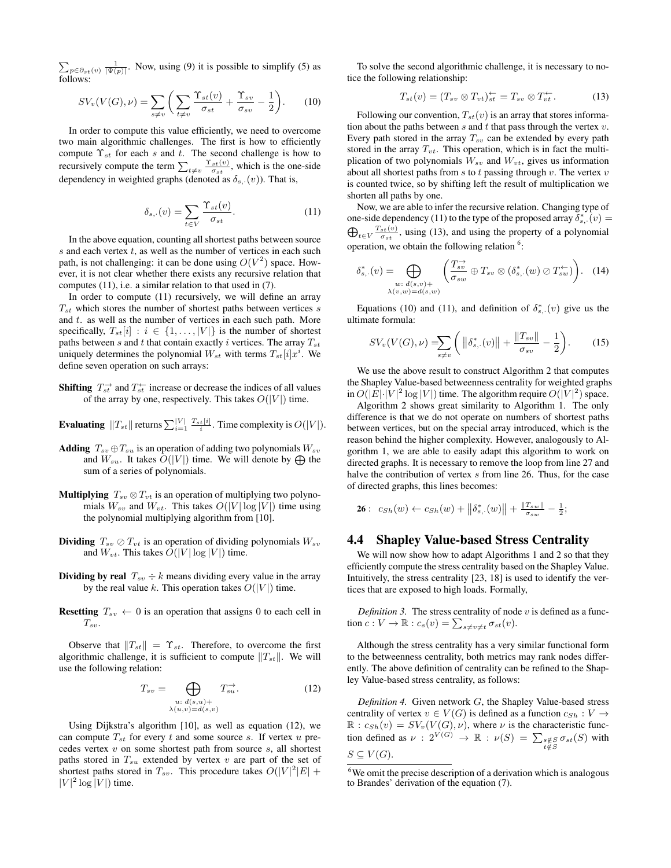$\sum_{p \in \partial_{st}(v)} \frac{1}{|\Psi(p)|}$ . Now, using (9) it is possible to simplify (5) as follows:

$$
SV_v(V(G),\nu) = \sum_{s \neq v} \left( \sum_{t \neq v} \frac{\Upsilon_{st}(v)}{\sigma_{st}} + \frac{\Upsilon_{sv}}{\sigma_{sv}} - \frac{1}{2} \right). \tag{10}
$$

In order to compute this value efficiently, we need to overcome two main algorithmic challenges. The first is how to efficiently compute  $\Upsilon_{st}$  for each s and t. The second challenge is how to recursively compute the term  $\sum_{t \neq v} \frac{\Upsilon_{st}(v)}{\sigma_{st}}$ , which is the one-side dependency in weighted graphs (denoted as  $\delta_{s}$ ,  $(v)$ ). That is,

$$
\delta_{s,\cdot}(v) = \sum_{t \in V} \frac{\Upsilon_{st}(v)}{\sigma_{st}}.\tag{11}
$$

In the above equation, counting all shortest paths between source  $s$  and each vertex  $t$ , as well as the number of vertices in each such path, is not challenging: it can be done using  $O(V^2)$  space. However, it is not clear whether there exists any recursive relation that computes (11), i.e. a similar relation to that used in (7).

In order to compute (11) recursively, we will define an array  $T_{st}$  which stores the number of shortest paths between vertices s and  $t$ . as well as the number of vertices in each such path. More specifically,  $T_{st}[i] : i \in \{1, \ldots, |V|\}$  is the number of shortest paths between s and t that contain exactly i vertices. The array  $T_{st}$ uniquely determines the polynomial  $W_{st}$  with terms  $T_{st}[i]x^i$ . We define seven operation on such arrays:

- **Shifting**  $T_{st}^{\rightarrow}$  and  $T_{st}^{\leftarrow}$  increase or decrease the indices of all values of the array by one, respectively. This takes  $O(|V|)$  time.
- **Evaluating**  $||T_{st}||$  returns  $\sum_{i=1}^{|V|} \frac{T_{st}[i]}{i}$ . Time complexity is  $O(|V|)$ .
- Adding  $T_{sv} \oplus T_{su}$  is an operation of adding two polynomials  $W_{sv}$ and  $W_{su}$ . It takes  $O(|V|)$  time. We will denote by  $\bigoplus$  the sum of a series of polynomials.
- **Multiplying**  $T_{sv} \otimes T_{vt}$  is an operation of multiplying two polynomials  $W_{sv}$  and  $W_{vt}$ . This takes  $O(|V| \log |V|)$  time using the polynomial multiplying algorithm from [10].
- **Dividing**  $T_{sv} \oslash T_{vt}$  is an operation of dividing polynomials  $W_{sv}$ and  $W_{vt}$ . This takes  $O(|V| \log |V|)$  time.
- Dividing by real  $T_{sv} \div k$  means dividing every value in the array by the real value k. This operation takes  $O(|V|)$  time.
- **Resetting**  $T_{sv} \leftarrow 0$  is an operation that assigns 0 to each cell in  $T_{sv}$ .

Observe that  $||T_{st}|| = \Upsilon_{st}$ . Therefore, to overcome the first algorithmic challenge, it is sufficient to compute  $||T_{st}||$ . We will use the following relation:

$$
T_{sv} = \bigoplus_{\substack{u: d(s,u) + \\ \lambda(u,v) = d(s,v)}} T_{su}^{\rightarrow}.
$$
 (12)

Using Dijkstra's algorithm [10], as well as equation (12), we can compute  $T_{st}$  for every t and some source s. If vertex u precedes vertex  $v$  on some shortest path from source  $s$ , all shortest paths stored in  $T_{su}$  extended by vertex v are part of the set of shortest paths stored in  $T_{sv}$ . This procedure takes  $O(|V|^2|E| +$  $|V|^2 \log |V|$ ) time.

To solve the second algorithmic challenge, it is necessary to notice the following relationship:

$$
T_{st}(v) = (T_{sv} \otimes T_{vt})_{st}^{\leftarrow} = T_{sv} \otimes T_{vt}^{\leftarrow}.
$$
 (13)

Following our convention,  $T_{st}(v)$  is an array that stores information about the paths between  $s$  and  $t$  that pass through the vertex  $v$ . Every path stored in the array  $T_{sv}$  can be extended by every path stored in the array  $T_{vt}$ . This operation, which is in fact the multiplication of two polynomials  $W_{sv}$  and  $W_{vt}$ , gives us information about all shortest paths from  $s$  to  $t$  passing through  $v$ . The vertex  $v$ is counted twice, so by shifting left the result of multiplication we shorten all paths by one.

Now, we are able to infer the recursive relation. Changing type of one-side dependency (11) to the type of the proposed array  $\delta_{s}^*$ ,  $(v)$  =  $\bigoplus_{t \in V} \frac{T_{st}(v)}{\sigma_{st}}$ , using (13), and using the property of a polynomial operation, we obtain the following relation<sup>6</sup>:

$$
\delta_{s,\cdot}^*(v) = \bigoplus_{\substack{w:\ d(s,v)+\\ \lambda(v,w)=d(s,w)}} \left( \frac{T_{sv}^{\to}}{\sigma_{sw}} \oplus T_{sv} \otimes (\delta_{s,\cdot}^*(w) \otimes T_{sw}^{\leftarrow}) \right). \quad (14)
$$

Equations (10) and (11), and definition of  $\delta_{s}^{*}$ ,  $(v)$  give us the ultimate formula:

$$
SV_v(V(G), \nu) = \sum_{s \neq v} \left( \left\| \delta_{s, \cdot}^*(v) \right\| + \frac{\left\| T_{sv} \right\|}{\sigma_{sv}} - \frac{1}{2} \right). \tag{15}
$$

We use the above result to construct Algorithm 2 that computes the Shapley Value-based betweenness centrality for weighted graphs in  $O(|E| \cdot |V|^2 \log |V|)$  time. The algorithm require  $O(|V|^2)$  space.

Algorithm 2 shows great similarity to Algorithm 1. The only difference is that we do not operate on numbers of shortest paths between vertices, but on the special array introduced, which is the reason behind the higher complexity. However, analogously to Algorithm 1, we are able to easily adapt this algorithm to work on directed graphs. It is necessary to remove the loop from line 27 and halve the contribution of vertex s from line 26. Thus, for the case of directed graphs, this lines becomes:

**26**: 
$$
c_{Sh}(w) \leftarrow c_{Sh}(w) + ||\delta^*_{s,\cdot}(w)|| + \frac{||T_{sw}||}{\sigma_{sw}} - \frac{1}{2};
$$

#### 4.4 Shapley Value-based Stress Centrality

We will now show how to adapt Algorithms 1 and 2 so that they efficiently compute the stress centrality based on the Shapley Value. Intuitively, the stress centrality [23, 18] is used to identify the vertices that are exposed to high loads. Formally,

*Definition 3.* The stress centrality of node  $v$  is defined as a function  $c: V \to \mathbb{R}: c_s(v) = \sum_{s \neq v \neq t} \sigma_{st}(v)$ .

Although the stress centrality has a very similar functional form to the betweenness centrality, both metrics may rank nodes differently. The above definition of centrality can be refined to the Shapley Value-based stress centrality, as follows:

*Definition 4.* Given network G, the Shapley Value-based stress centrality of vertex  $v \in V(G)$  is defined as a function  $c_{Sh}: V \to$  $\mathbb{R}: c_{Sh}(v) = SV_v(V(G), \nu)$ , where  $\nu$  is the characteristic function defined as  $\nu : 2^{V(G)} \to \mathbb{R} : \nu(S) = \sum_{\substack{s \notin S \\ t \notin S}} \sigma_{st}(S)$  with  $S \subseteq V(G)$ .

 $6$ We omit the precise description of a derivation which is analogous to Brandes' derivation of the equation (7).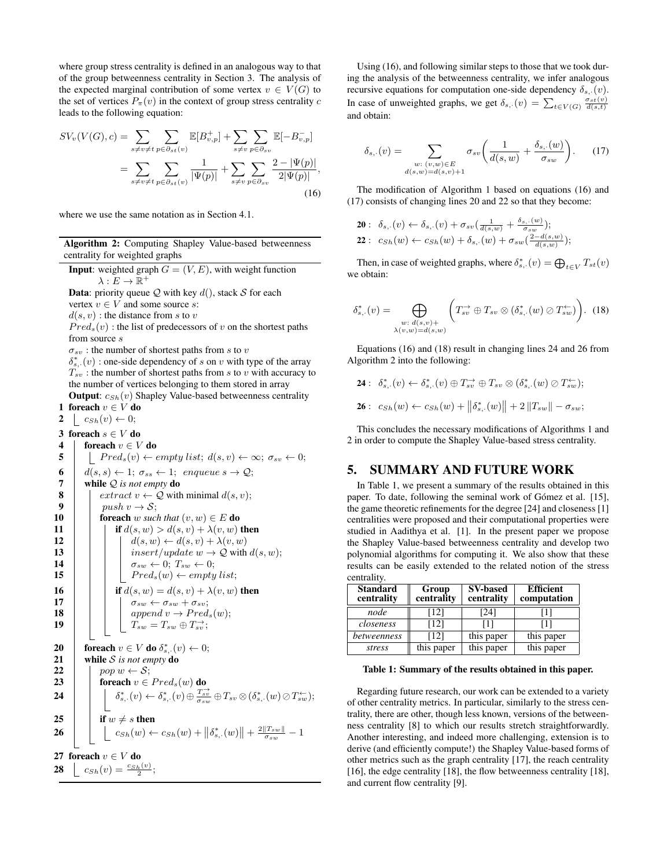where group stress centrality is defined in an analogous way to that of the group betweenness centrality in Section 3. The analysis of the expected marginal contribution of some vertex  $v \in V(G)$  to the set of vertices  $P_{\pi}(v)$  in the context of group stress centrality c leads to the following equation:

$$
SV_v(V(G), c) = \sum_{s \neq v \neq t} \sum_{p \in \partial_{st}(v)} \mathbb{E}[B_{v,p}^+] + \sum_{s \neq v} \sum_{p \in \partial_{sv}} \mathbb{E}[-B_{v,p}^-]
$$
  
= 
$$
\sum_{s \neq v \neq t} \sum_{p \in \partial_{st}(v)} \frac{1}{|\Psi(p)|} + \sum_{s \neq v} \sum_{p \in \partial_{sv}} \frac{2 - |\Psi(p)|}{2|\Psi(p)|},
$$
(16)

where we use the same notation as in Section 4.1.

Algorithm 2: Computing Shapley Value-based betweenness centrality for weighted graphs

**Input:** weighted graph  $G = (V, E)$ , with weight function  $\lambda: E \to \mathbb{R}^+$ 

**Data:** priority queue  $Q$  with key  $d()$ , stack S for each vertex  $v \in V$  and some source s:

 $d(s, v)$ : the distance from s to v

 $Pred<sub>s</sub>(v)$ : the list of predecessors of v on the shortest paths from source  $s$ 

 $\sigma_{sv}$ : the number of shortest paths from s to v

 $\delta_{s}^{*}$ . (v) : one-side dependency of s on v with type of the array  $T_{sv}$ : the number of shortest paths from  $s$  to  $v$  with accuracy to the number of vertices belonging to them stored in array

**Output:**  $c_{Sh}(v)$  Shapley Value-based betweenness centrality 1 foreach  $v \in V$  do

2  $\mid c_{Sh}(v) \leftarrow 0;$ 3 foreach  $s \in V$  do 4 foreach  $v \in V$  do 5 | |  $Pred_s(v) \leftarrow empty list; d(s, v) \leftarrow \infty; \sigma_{sv} \leftarrow 0;$ 6  $d(s, s) \leftarrow 1; \sigma_{ss} \leftarrow 1; \text{ sequence } s \rightarrow \mathcal{Q};$ **7** while Q is not empty **do**<br>8  $\downarrow$  extract  $v \leftarrow Q$  with 8  $\begin{array}{|c|c|} \hline \textbf{8} & \text{extract } v \leftarrow \textbf{Q} \text{ with minimal } d(s, v); \ \hline \textbf{9} & \text{push } v \rightarrow S; \hline \end{array}$ 9 |  $push v \rightarrow S;$ <br>10 | foreach w such **foreach** w *such that*  $(v, w) \in E$  **do** 11 if  $d(s, w) > d(s, v) + \lambda(v, w)$  then 12  $\vert \vert \vert \vert \vert d(s, w) \leftarrow d(s, v) + \lambda(v, w)$ 13 | | | insert/update  $w \to Q$  with  $d(s, w)$ ; 14  $\vert \vert \vert \sigma_{sw} \leftarrow 0; T_{sw} \leftarrow 0;$ 15 | | |  $Pred_s(w) \leftarrow empty list;$ **16 i if**  $d(s, w) = d(s, v) + \lambda(v, w)$  then 17 | | |  $\sigma_{sw} \leftarrow \sigma_{sw} + \sigma_{sv};$ 18 | | |  $append\ v \rightarrow Pred_s(w);$ 19  $\begin{array}{|c|c|c|}\n\hline\n19 & \bar{1} & \bar{x}_{sw} = T_{sw} \oplus T_{sv}^{\rightarrow};\n\hline\n\end{array}$ 20  $\; \; \mid \;$  foreach  $v \in V$  do  $\delta^*_{s,\cdot}(v) \leftarrow 0;$ 21 while S *is not empty* do 22 | pop  $w \leftarrow S$ ; 23  $\Box$  foreach  $v \in Pred_s(w)$  do  ${\bf 24} \quad \Big\vert \quad \Big\vert \quad \delta_{s,\cdot}^*(v) \leftarrow \delta_{s,\cdot}^*(v) \oplus \tfrac{T_{sv}^{\rightarrow}}{\sigma_{sw}} \oplus T_{sv} \otimes (\delta_{s,\cdot}^*(w) \oslash T_{sw}^{\leftarrow});$ 25  $\vert$  if  $w \neq s$  then **26**  $\Big| \Big| \Big| \Big| c_{Sh}(w) \leftarrow c_{Sh}(w) + \Big| \Big| \delta_{s,\cdot}^*(w) \Big| + \tfrac{2\|T_{sw}\|}{\sigma_{sw}} - 1$ 27 foreach  $v \in V$  do **28**  $c_{Sh}(v) = \frac{c_{Sh}(v)}{2};$ 

Using (16), and following similar steps to those that we took during the analysis of the betweenness centrality, we infer analogous recursive equations for computation one-side dependency  $\delta_{s}$ ,  $(v)$ . In case of unweighted graphs, we get  $\delta_{s}$ ,  $(v) = \sum_{t \in V(G)} \frac{\sigma_{st}(v)}{d(s,t)}$ and obtain:

$$
\delta_{s,\cdot}(v) = \sum_{\substack{w:\ (v,w)\in E\\d(s,w)=d(s,v)+1}} \sigma_{sv}\bigg(\frac{1}{d(s,w)} + \frac{\delta_{s,\cdot}(w)}{\sigma_{sw}}\bigg). \tag{17}
$$

The modification of Algorithm 1 based on equations (16) and (17) consists of changing lines 20 and 22 so that they become:

**20**:  $\delta_{s}$ ,  $(v) \leftarrow \delta_{s}$ ,  $(v) + \sigma_{sv}(\frac{1}{d(s,w)} + \frac{\delta_{s}$ ,  $(w)}{\sigma_{sw}});$ 22 :  $c_{Sh}(w) \leftarrow c_{Sh}(w) + \delta_{s}$ ,  $(w) + \sigma_{sw}(\frac{2-d(s,w)}{d(s,w)})$ ;

Then, in case of weighted graphs, where  $\delta_{s,\cdot}^*(v) = \bigoplus_{t \in V} T_{st}(v)$ we obtain:

$$
\delta_{s,\cdot}^*(v) = \bigoplus_{\substack{w:\ d(s,v)+\\ \lambda(v,w)=d(s,w)}} \left( T_{sv} \oplus T_{sv} \otimes (\delta_{s,\cdot}^*(w) \otimes T_{sw}^{\leftarrow}) \right). \tag{18}
$$

Equations (16) and (18) result in changing lines 24 and 26 from Algorithm 2 into the following:

$$
\mathbf{24}:\ \ \delta_{s,\cdot}^{*}(v)\leftarrow \delta_{s,\cdot}^{*}(v)\oplus T_{sv}^{\rightarrow}\oplus T_{sv}\otimes(\delta_{s,\cdot}^{*}(w)\oslash T_{sw}^{\leftarrow});
$$

$$
26: c_{Sh}(w) \leftarrow c_{Sh}(w) + ||\delta^*_{s,\cdot}(w)|| + 2 ||T_{sw}|| - \sigma_{sw};
$$

This concludes the necessary modifications of Algorithms 1 and 2 in order to compute the Shapley Value-based stress centrality.

### 5. SUMMARY AND FUTURE WORK

In Table 1, we present a summary of the results obtained in this paper. To date, following the seminal work of Gómez et al. [15], the game theoretic refinements for the degree [24] and closeness [1] centralities were proposed and their computational properties were studied in Aadithya et al. [1]. In the present paper we propose the Shapley Value-based betweenness centrality and develop two polynomial algorithms for computing it. We also show that these results can be easily extended to the related notion of the stress centrality.

| <b>Standard</b><br>centrality | Group<br>centrality | <b>SV-based</b><br>centrality | <b>Efficient</b><br>computation |
|-------------------------------|---------------------|-------------------------------|---------------------------------|
| node                          | [12]                | [24]                          | 11                              |
| closeness                     | [12]                | [1]                           | [1]                             |
| betweenness                   | [12]                | this paper                    | this paper                      |
| stress                        | this paper          | this paper                    | this paper                      |

Table 1: Summary of the results obtained in this paper.

Regarding future research, our work can be extended to a variety of other centrality metrics. In particular, similarly to the stress centrality, there are other, though less known, versions of the betweenness centrality [8] to which our results stretch straightforwardly. Another interesting, and indeed more challenging, extension is to derive (and efficiently compute!) the Shapley Value-based forms of other metrics such as the graph centrality [17], the reach centrality [16], the edge centrality [18], the flow betweenness centrality [18], and current flow centrality [9].